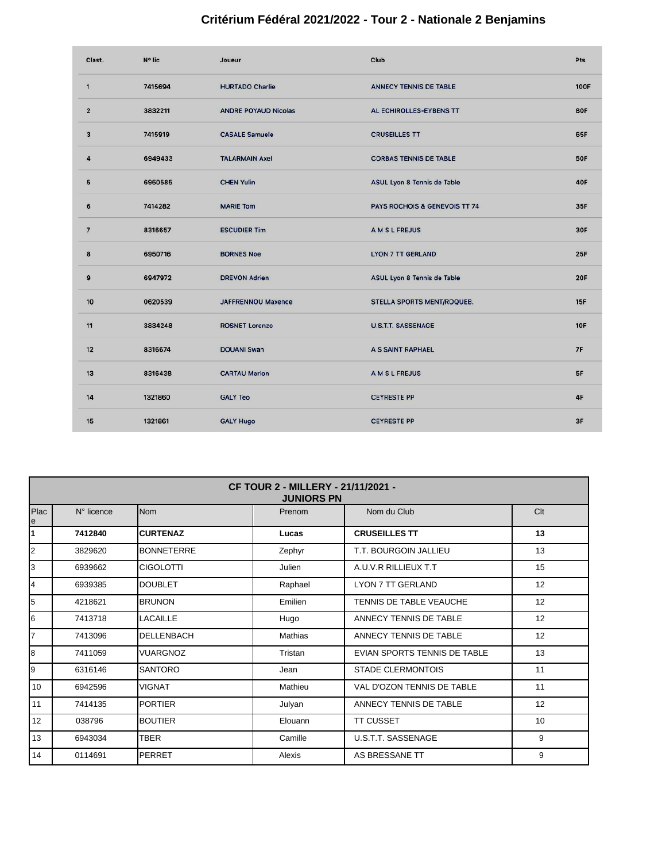## **Critérium Fédéral 2021/2022 - Tour 2 - Nationale 2 Benjamins**

| Clast.         | N° lic  | Joueur                      | Club                          | Pts         |
|----------------|---------|-----------------------------|-------------------------------|-------------|
| $\mathbf{1}$   | 7415694 | <b>HURTADO Charlie</b>      | ANNECY TENNIS DE TABLE        | <b>100F</b> |
| $\overline{2}$ | 3832211 | <b>ANDRE POYAUD Nicolas</b> | AL ECHIROLLES-EYBENS TT       | <b>80F</b>  |
| 3              | 7415919 | <b>CASALE Samuele</b>       | <b>CRUSEILLES TT</b>          | 65F         |
| 4              | 6949433 | <b>TALARMAIN Axel</b>       | <b>CORBAS TENNIS DE TABLE</b> | <b>50F</b>  |
| 5              | 6950585 | <b>CHEN Yulin</b>           | ASUL Lyon 8 Tennis de Table   | <b>40F</b>  |
| 6              | 7414282 | <b>MARIE Tom</b>            | PAYS ROCHOIS & GENEVOIS TT 74 | 35F         |
| $\overline{7}$ | 8316657 | <b>ESCUDIER Tim</b>         | <b>AMSLFREJUS</b>             | 30F         |
| 8              | 6950716 | <b>BORNES Noe</b>           | <b>LYON 7 TT GERLAND</b>      | 25F         |
| 9              | 6947972 | <b>DREVON Adrien</b>        | ASUL Lyon 8 Tennis de Table   | <b>20F</b>  |
| 10             | 0620539 | <b>JAFFRENNOU Maxence</b>   | STELLA SPORTS MENT/ROQUEB.    | <b>15F</b>  |
| 11             | 3834248 | <b>ROSNET Lorenzo</b>       | <b>U.S.T.T. SASSENAGE</b>     | <b>10F</b>  |
| 12             | 8316674 | <b>DOUANI Swan</b>          | A S SAINT RAPHAEL             | 7F          |
| 13             | 8316438 | <b>CARTAU Marlon</b>        | A M S L FREJUS                | 5F          |
| 14             | 1321860 | <b>GALY Teo</b>             | <b>CEYRESTE PP</b>            | 4F          |
| 15             | 1321861 | <b>GALY Hugo</b>            | <b>CEYRESTE PP</b>            | 3F          |

| <b>CF TOUR 2 - MILLERY - 21/11/2021 -</b><br><b>JUNIORS PN</b>                 |         |                   |         |                              |    |  |
|--------------------------------------------------------------------------------|---------|-------------------|---------|------------------------------|----|--|
| <b>Nom</b><br>Clt<br>Plac<br>Nom du Club<br>$N^{\circ}$ licence<br>Prenom<br>е |         |                   |         |                              |    |  |
| 1                                                                              | 7412840 | <b>CURTENAZ</b>   | Lucas   | <b>CRUSEILLES TT</b>         | 13 |  |
| 2                                                                              | 3829620 | <b>BONNETERRE</b> | Zephyr  | T.T. BOURGOIN JALLIEU        | 13 |  |
| 3                                                                              | 6939662 | <b>CIGOLOTTI</b>  | Julien  | A.U.V.R RILLIEUX T.T         | 15 |  |
| 4                                                                              | 6939385 | <b>DOUBLET</b>    | Raphael | <b>LYON 7 TT GERLAND</b>     | 12 |  |
| 5                                                                              | 4218621 | <b>BRUNON</b>     | Emilien | TENNIS DE TABLE VEAUCHE      | 12 |  |
| 6                                                                              | 7413718 | <b>LACAILLE</b>   | Hugo    | ANNECY TENNIS DE TABLE       | 12 |  |
| 7                                                                              | 7413096 | <b>DELLENBACH</b> | Mathias | ANNECY TENNIS DE TABLE       | 12 |  |
| 8                                                                              | 7411059 | <b>VUARGNOZ</b>   | Tristan | EVIAN SPORTS TENNIS DE TABLE | 13 |  |
| 9                                                                              | 6316146 | <b>SANTORO</b>    | Jean    | <b>STADE CLERMONTOIS</b>     | 11 |  |
| 10                                                                             | 6942596 | <b>VIGNAT</b>     | Mathieu | VAL D'OZON TENNIS DE TABLE   | 11 |  |
| 11                                                                             | 7414135 | <b>PORTIER</b>    | Julyan  | ANNECY TENNIS DE TABLE       | 12 |  |
| 12                                                                             | 038796  | <b>BOUTIER</b>    | Elouann | <b>TT CUSSET</b>             | 10 |  |
| 13                                                                             | 6943034 | <b>TBER</b>       | Camille | U.S.T.T. SASSENAGE           | 9  |  |
| 14                                                                             | 0114691 | <b>PERRET</b>     | Alexis  | AS BRESSANE TT               | 9  |  |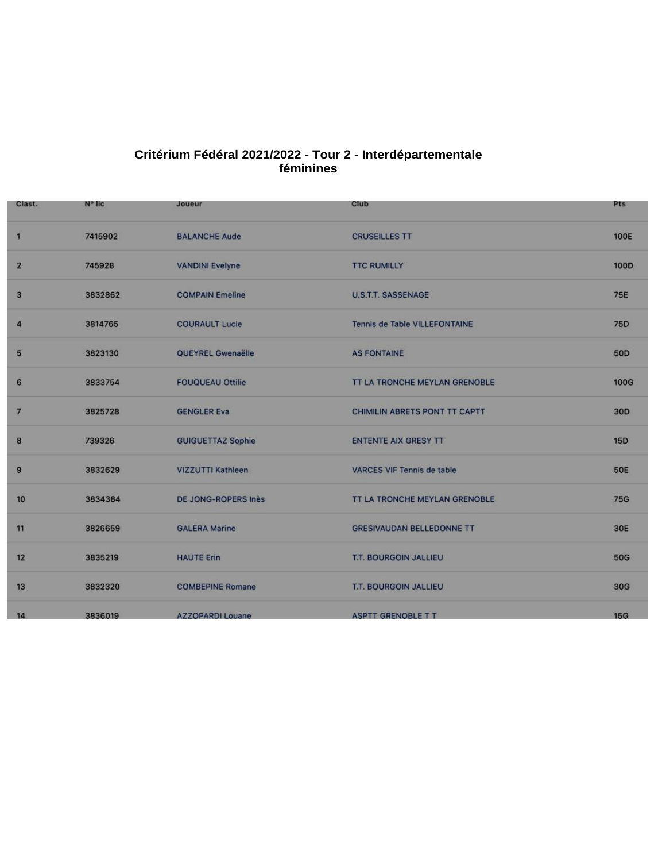## **Critérium Fédéral 2021/2022 - Tour 2 - Interdépartementale féminines**

| Clast.         | N° lic  | Joueur                   | Club                                 | <b>Pts</b>      |
|----------------|---------|--------------------------|--------------------------------------|-----------------|
| 1              | 7415902 | <b>BALANCHE Aude</b>     | <b>CRUSEILLES TT</b>                 | <b>100E</b>     |
| $\overline{2}$ | 745928  | <b>VANDINI Evelyne</b>   | <b>TTC RUMILLY</b>                   | 100D            |
| 3              | 3832862 | <b>COMPAIN Emeline</b>   | <b>U.S.T.T. SASSENAGE</b>            | <b>75E</b>      |
| 4              | 3814765 | <b>COURAULT Lucie</b>    | Tennis de Table VILLEFONTAINE        | 75D             |
| 5              | 3823130 | QUEYREL Gwenaëlle        | <b>AS FONTAINE</b>                   | <b>50D</b>      |
| 6              | 3833754 | <b>FOUQUEAU Ottilie</b>  | <b>TT LA TRONCHE MEYLAN GRENOBLE</b> | <b>100G</b>     |
| $\overline{7}$ | 3825728 | <b>GENGLER Eva</b>       | CHIMILIN ABRETS PONT TT CAPTT        | 30 <sub>D</sub> |
| 8              | 739326  | <b>GUIGUETTAZ Sophie</b> | <b>ENTENTE AIX GRESY TT</b>          | <b>15D</b>      |
| 9              | 3832629 | VIZZUTTI Kathleen        | <b>VARCES VIF Tennis de table</b>    | <b>50E</b>      |
| 10             | 3834384 | DE JONG-ROPERS Inès      | TT LA TRONCHE MEYLAN GRENOBLE        | <b>75G</b>      |
| 11             | 3826659 | <b>GALERA Marine</b>     | <b>GRESIVAUDAN BELLEDONNE TT</b>     | 30E             |
| 12             | 3835219 | <b>HAUTE Erin</b>        | T.T. BOURGOIN JALLIEU                | <b>50G</b>      |
| 13             | 3832320 | <b>COMBEPINE Romane</b>  | <b>T.T. BOURGOIN JALLIEU</b>         | 30G             |
| 14             | 3836019 | <b>AZZOPARDI Louane</b>  | <b>ASPTT GRENOBLE T T</b>            | <b>15G</b>      |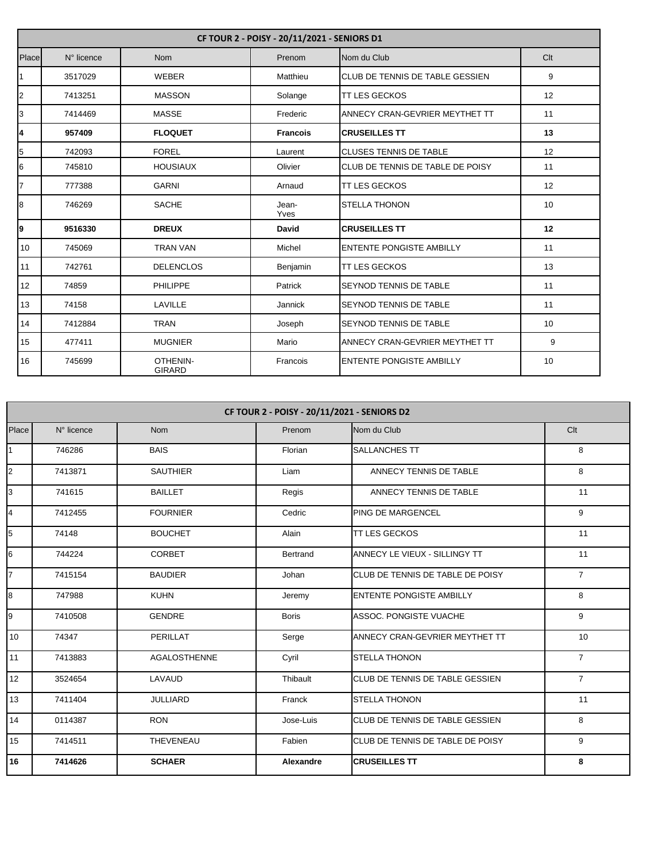|                         | CF TOUR 2 - POISY - 20/11/2021 - SENIORS D1 |                           |                 |                                        |     |  |
|-------------------------|---------------------------------------------|---------------------------|-----------------|----------------------------------------|-----|--|
| Place                   | N° licence                                  | <b>Nom</b>                | Prenom          | Nom du Club                            | Clt |  |
| 1                       | 3517029                                     | <b>WEBER</b>              | Matthieu        | <b>CLUB DE TENNIS DE TABLE GESSIEN</b> | 9   |  |
| $\overline{\mathbf{c}}$ | 7413251                                     | <b>MASSON</b>             | Solange         | <b>ITT LES GECKOS</b>                  | 12  |  |
| 3                       | 7414469                                     | <b>MASSE</b>              | Frederic        | ANNECY CRAN-GEVRIER MEYTHET TT         | 11  |  |
| $\overline{\mathbf{4}}$ | 957409                                      | <b>FLOQUET</b>            | <b>Francois</b> | <b>CRUSEILLES TT</b>                   | 13  |  |
| 5                       | 742093                                      | <b>FOREL</b>              | Laurent         | <b>CLUSES TENNIS DE TABLE</b>          | 12  |  |
| 6                       | 745810                                      | <b>HOUSIAUX</b>           | Olivier         | CLUB DE TENNIS DE TABLE DE POISY       | 11  |  |
| $\overline{7}$          | 777388                                      | <b>GARNI</b>              | Arnaud          | <b>ITT LES GECKOS</b>                  | 12  |  |
| 8                       | 746269                                      | <b>SACHE</b>              | Jean-<br>Yves   | <b>STELLA THONON</b>                   | 10  |  |
| 9                       | 9516330                                     | <b>DREUX</b>              | David           | <b>CRUSEILLES TT</b>                   | 12  |  |
| 10                      | 745069                                      | <b>TRAN VAN</b>           | Michel          | <b>ENTENTE PONGISTE AMBILLY</b>        | 11  |  |
| 11                      | 742761                                      | <b>DELENCLOS</b>          | Benjamin        | <b>TT LES GECKOS</b>                   | 13  |  |
| 12                      | 74859                                       | <b>PHILIPPE</b>           | Patrick         | <b>SEYNOD TENNIS DE TABLE</b>          | 11  |  |
| 13                      | 74158                                       | LAVILLE                   | Jannick         | <b>SEYNOD TENNIS DE TABLE</b>          | 11  |  |
| 14                      | 7412884                                     | <b>TRAN</b>               | Joseph          | <b>SEYNOD TENNIS DE TABLE</b>          | 10  |  |
| 15                      | 477411                                      | <b>MUGNIER</b>            | Mario           | ANNECY CRAN-GEVRIER MEYTHET TT         | 9   |  |
| 16                      | 745699                                      | OTHENIN-<br><b>GIRARD</b> | Francois        | <b>ENTENTE PONGISTE AMBILLY</b>        | 10  |  |

|                         | CF TOUR 2 - POISY - 20/11/2021 - SENIORS D2 |                     |                  |                                          |                |  |
|-------------------------|---------------------------------------------|---------------------|------------------|------------------------------------------|----------------|--|
| Place                   | N° licence                                  | <b>Nom</b>          | Prenom           | Nom du Club                              | Clt            |  |
| $\overline{1}$          | 746286                                      | <b>BAIS</b>         | Florian          | <b>SALLANCHES TT</b>                     | 8              |  |
| $\overline{2}$          | 7413871                                     | <b>SAUTHIER</b>     | Liam             | ANNECY TENNIS DE TABLE                   | 8              |  |
| 3                       | 741615                                      | <b>BAILLET</b>      | Regis            | ANNECY TENNIS DE TABLE                   | 11             |  |
| $\overline{\mathbf{4}}$ | 7412455                                     | <b>FOURNIER</b>     | Cedric           | <b>PING DE MARGENCEL</b>                 | 9              |  |
| 5                       | 74148                                       | <b>BOUCHET</b>      | Alain            | TT LES GECKOS                            | 11             |  |
| 6                       | 744224                                      | <b>CORBET</b>       | <b>Bertrand</b>  | ANNECY LE VIEUX - SILLINGY TT            | 11             |  |
| 7                       | 7415154                                     | <b>BAUDIER</b>      | Johan            | <b>CLUB DE TENNIS DE TABLE DE POISY</b>  | $\overline{7}$ |  |
| $\bf{8}$                | 747988                                      | <b>KUHN</b>         | Jeremy           | <b>ENTENTE PONGISTE AMBILLY</b>          | 8              |  |
| 9                       | 7410508                                     | <b>GENDRE</b>       | <b>Boris</b>     | ASSOC. PONGISTE VUACHE                   | 9              |  |
| 10                      | 74347                                       | <b>PERILLAT</b>     | Serge            | ANNECY CRAN-GEVRIER MEYTHET TT           | 10             |  |
| 11                      | 7413883                                     | <b>AGALOSTHENNE</b> | Cyril            | <b>STELLA THONON</b>                     | $\overline{7}$ |  |
| 12                      | 3524654                                     | LAVAUD              | Thibault         | CLUB DE TENNIS DE TABLE GESSIEN          | $\overline{7}$ |  |
| 13                      | 7411404                                     | <b>JULLIARD</b>     | Franck           | <b>STELLA THONON</b>                     | 11             |  |
| 14                      | 0114387                                     | <b>RON</b>          | Jose-Luis        | <b>CLUB DE TENNIS DE TABLE GESSIEN</b>   | 8              |  |
| 15                      | 7414511                                     | THEVENEAU           | Fabien           | <b>ICLUB DE TENNIS DE TABLE DE POISY</b> | 9              |  |
| 16                      | 7414626                                     | <b>SCHAER</b>       | <b>Alexandre</b> | <b>CRUSEILLES TT</b>                     | 8              |  |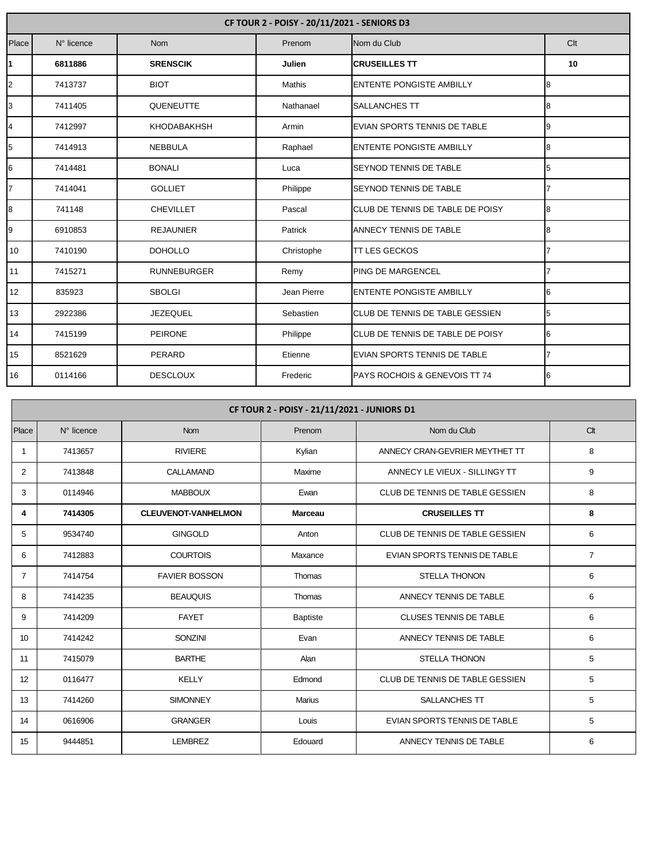|                | CF TOUR 2 - POISY - 20/11/2021 - SENIORS D3 |                    |             |                                          |                 |  |
|----------------|---------------------------------------------|--------------------|-------------|------------------------------------------|-----------------|--|
| Place          | N° licence                                  | <b>Nom</b>         | Prenom      | Nom du Club                              | C <sub>It</sub> |  |
| 1              | 6811886                                     | <b>SRENSCIK</b>    | Julien      | <b>CRUSEILLES TT</b>                     | 10              |  |
| $\overline{2}$ | 7413737                                     | <b>BIOT</b>        | Mathis      | <b>ENTENTE PONGISTE AMBILLY</b>          | 8               |  |
| 3              | 7411405                                     | <b>QUENEUTTE</b>   | Nathanael   | <b>SALLANCHES TT</b>                     | 8               |  |
| $\overline{4}$ | 7412997                                     | <b>KHODABAKHSH</b> | Armin       | EVIAN SPORTS TENNIS DE TABLE             | 9               |  |
| 5              | 7414913                                     | <b>NEBBULA</b>     | Raphael     | <b>ENTENTE PONGISTE AMBILLY</b>          | 8               |  |
| 6              | 7414481                                     | <b>BONALI</b>      | Luca        | <b>SEYNOD TENNIS DE TABLE</b>            | 5               |  |
| $\overline{7}$ | 7414041                                     | <b>GOLLIET</b>     | Philippe    | <b>SEYNOD TENNIS DE TABLE</b>            |                 |  |
| 8              | 741148                                      | <b>CHEVILLET</b>   | Pascal      | CLUB DE TENNIS DE TABLE DE POISY         | 8               |  |
| 9              | 6910853                                     | <b>REJAUNIER</b>   | Patrick     | ANNECY TENNIS DE TABLE                   | 8               |  |
| 10             | 7410190                                     | <b>DOHOLLO</b>     | Christophe  | <b>TT LES GECKOS</b>                     |                 |  |
| 11             | 7415271                                     | <b>RUNNEBURGER</b> | Remy        | <b>PING DE MARGENCEL</b>                 |                 |  |
| 12             | 835923                                      | <b>SBOLGI</b>      | Jean Pierre | <b>ENTENTE PONGISTE AMBILLY</b>          | 6               |  |
| 13             | 2922386                                     | <b>JEZEQUEL</b>    | Sebastien   | <b>CLUB DE TENNIS DE TABLE GESSIEN</b>   | 5               |  |
| 14             | 7415199                                     | <b>PEIRONE</b>     | Philippe    | CLUB DE TENNIS DE TABLE DE POISY         | 6               |  |
| 15             | 8521629                                     | PERARD             | Etienne     | EVIAN SPORTS TENNIS DE TABLE             |                 |  |
| 16             | 0114166                                     | <b>DESCLOUX</b>    | Frederic    | <b>PAYS ROCHOIS &amp; GENEVOIS TT 74</b> | 6               |  |

|              | CF TOUR 2 - POISY - 21/11/2021 - JUNIORS D1 |                            |                 |                                 |                |  |  |
|--------------|---------------------------------------------|----------------------------|-----------------|---------------------------------|----------------|--|--|
| Place        | N° licence                                  | <b>Nom</b>                 | Prenom          | Nom du Club                     | Clt            |  |  |
| $\mathbf{1}$ | 7413657                                     | <b>RIVIERE</b>             | Kylian          | ANNECY CRAN-GEVRIER MEYTHET TT  | 8              |  |  |
| 2            | 7413848                                     | CALLAMAND                  | Maxime          | ANNECY LE VIEUX - SILLINGY TT   | 9              |  |  |
| 3            | 0114946                                     | <b>MABBOUX</b>             | Ewan            | CLUB DE TENNIS DE TABLE GESSIEN | 8              |  |  |
| 4            | 7414305                                     | <b>CLEUVENOT-VANHELMON</b> | <b>Marceau</b>  | <b>CRUSEILLES TT</b>            | 8              |  |  |
| 5            | 9534740                                     | <b>GINGOLD</b>             | Anton           | CLUB DE TENNIS DE TABLE GESSIEN | 6              |  |  |
| 6            | 7412883                                     | <b>COURTOIS</b>            | Maxance         | EVIAN SPORTS TENNIS DE TABLE    | $\overline{7}$ |  |  |
| 7            | 7414754                                     | <b>FAVIER BOSSON</b>       | Thomas          | <b>STELLA THONON</b>            | 6              |  |  |
| 8            | 7414235                                     | <b>BEAUQUIS</b>            | Thomas          | ANNECY TENNIS DE TABLE          | 6              |  |  |
| 9            | 7414209                                     | <b>FAYET</b>               | <b>Baptiste</b> | <b>CLUSES TENNIS DE TABLE</b>   | 6              |  |  |
| 10           | 7414242                                     | <b>SONZINI</b>             | Evan            | ANNECY TENNIS DE TABLE          | 6              |  |  |
| 11           | 7415079                                     | <b>BARTHE</b>              | Alan            | <b>STELLA THONON</b>            | 5              |  |  |
| 12           | 0116477                                     | <b>KELLY</b>               | Edmond          | CLUB DE TENNIS DE TABLE GESSIEN | 5              |  |  |
| 13           | 7414260                                     | <b>SIMONNEY</b>            | Marius          | SALLANCHES TT                   | 5              |  |  |
| 14           | 0616906                                     | <b>GRANGER</b>             | Louis           | EVIAN SPORTS TENNIS DE TABLE    | 5              |  |  |
| 15           | 9444851                                     | <b>LEMBREZ</b>             | Edouard         | ANNECY TENNIS DE TABLE          | 6              |  |  |